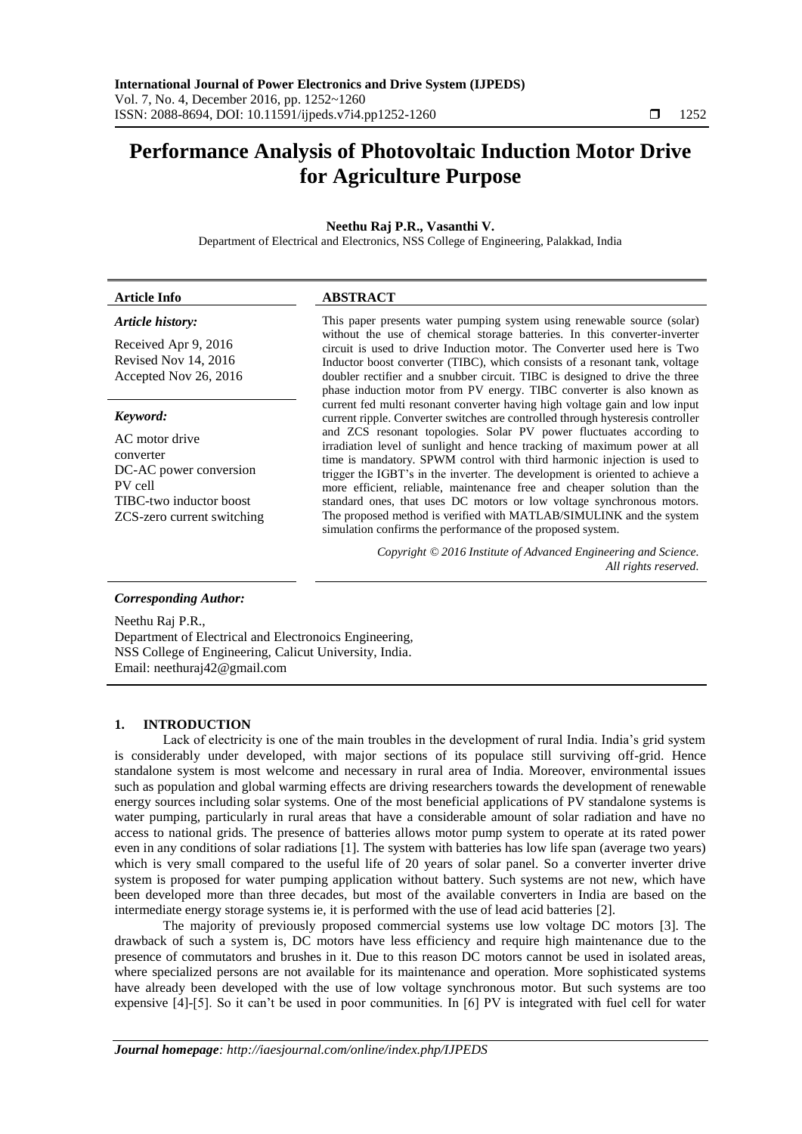# **Performance Analysis of Photovoltaic Induction Motor Drive for Agriculture Purpose**

# **Neethu Raj P.R., Vasanthi V.**

Department of Electrical and Electronics, NSS College of Engineering, Palakkad, India

# **Article Info ABSTRACT**

# *Article history:*

Received Apr 9, 2016 Revised Nov 14, 2016 Accepted Nov 26, 2016

#### *Keyword:*

AC motor drive converter DC-AC power conversion PV cell TIBC-two inductor boost ZCS-zero current switching This paper presents water pumping system using renewable source (solar) without the use of chemical storage batteries. In this converter-inverter circuit is used to drive Induction motor. The Converter used here is Two Inductor boost converter (TIBC), which consists of a resonant tank, voltage doubler rectifier and a snubber circuit. TIBC is designed to drive the three phase induction motor from PV energy. TIBC converter is also known as current fed multi resonant converter having high voltage gain and low input current ripple. Converter switches are controlled through hysteresis controller and ZCS resonant topologies. Solar PV power fluctuates according to irradiation level of sunlight and hence tracking of maximum power at all time is mandatory. SPWM control with third harmonic injection is used to trigger the IGBT's in the inverter. The development is oriented to achieve a more efficient, reliable, maintenance free and cheaper solution than the standard ones, that uses DC motors or low voltage synchronous motors. The proposed method is verified with MATLAB/SIMULINK and the system simulation confirms the performance of the proposed system.

> *Copyright © 2016 Institute of Advanced Engineering and Science. All rights reserved.*

# *Corresponding Author:*

Neethu Raj P.R., Department of Electrical and Electronoics Engineering, NSS College of Engineering, Calicut University, India. Email: neethuraj42@gmail.com

#### **1. INTRODUCTION**

Lack of electricity is one of the main troubles in the development of rural India. India's grid system is considerably under developed, with major sections of its populace still surviving off-grid. Hence standalone system is most welcome and necessary in rural area of India. Moreover, environmental issues such as population and global warming effects are driving researchers towards the development of renewable energy sources including solar systems. One of the most beneficial applications of PV standalone systems is water pumping, particularly in rural areas that have a considerable amount of solar radiation and have no access to national grids. The presence of batteries allows motor pump system to operate at its rated power even in any conditions of solar radiations [1]. The system with batteries has low life span (average two years) which is very small compared to the useful life of 20 years of solar panel. So a converter inverter drive system is proposed for water pumping application without battery. Such systems are not new, which have been developed more than three decades, but most of the available converters in India are based on the intermediate energy storage systems ie, it is performed with the use of lead acid batteries [2].

The majority of previously proposed commercial systems use low voltage DC motors [3]. The drawback of such a system is, DC motors have less efficiency and require high maintenance due to the presence of commutators and brushes in it. Due to this reason DC motors cannot be used in isolated areas, where specialized persons are not available for its maintenance and operation. More sophisticated systems have already been developed with the use of low voltage synchronous motor. But such systems are too expensive [4]-[5]. So it can't be used in poor communities. In [6] PV is integrated with fuel cell for water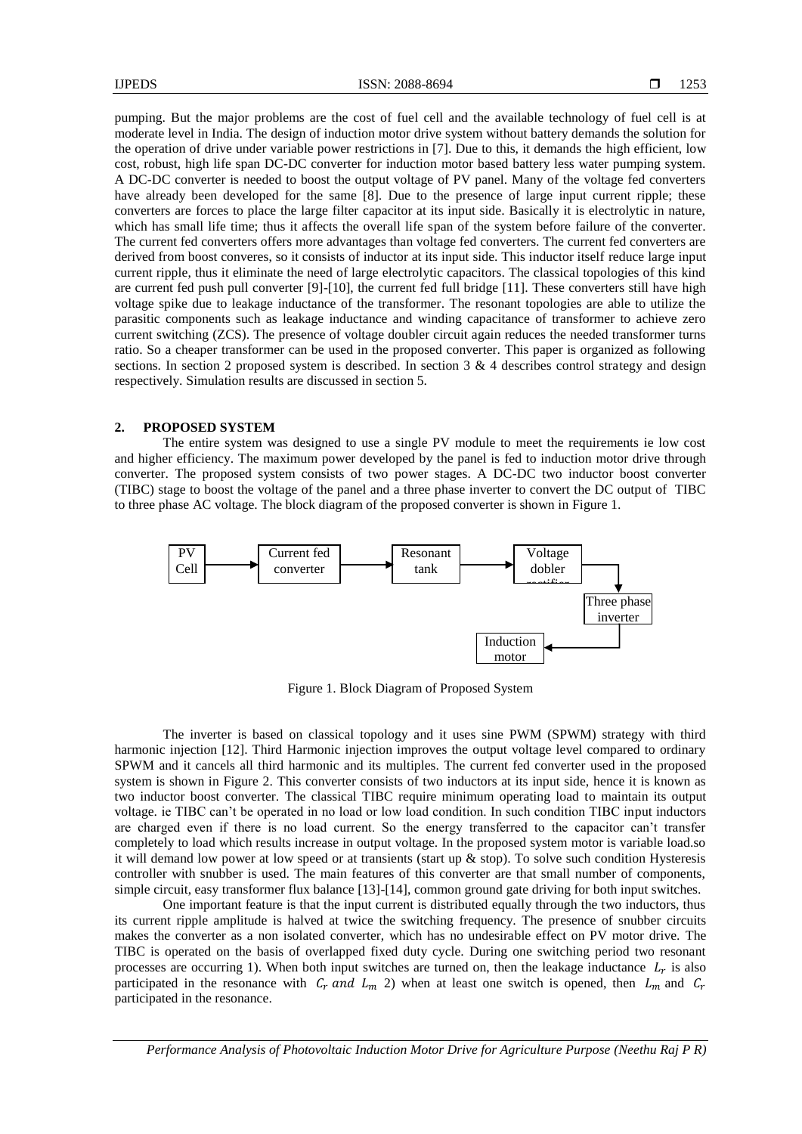pumping. But the major problems are the cost of fuel cell and the available technology of fuel cell is at moderate level in India. The design of induction motor drive system without battery demands the solution for the operation of drive under variable power restrictions in [7]. Due to this, it demands the high efficient, low cost, robust, high life span DC-DC converter for induction motor based battery less water pumping system. A DC-DC converter is needed to boost the output voltage of PV panel. Many of the voltage fed converters have already been developed for the same [8]. Due to the presence of large input current ripple; these converters are forces to place the large filter capacitor at its input side. Basically it is electrolytic in nature, which has small life time; thus it affects the overall life span of the system before failure of the converter. The current fed converters offers more advantages than voltage fed converters. The current fed converters are derived from boost converes, so it consists of inductor at its input side. This inductor itself reduce large input current ripple, thus it eliminate the need of large electrolytic capacitors. The classical topologies of this kind are current fed push pull converter [9]-[10], the current fed full bridge [11]. These converters still have high voltage spike due to leakage inductance of the transformer. The resonant topologies are able to utilize the parasitic components such as leakage inductance and winding capacitance of transformer to achieve zero current switching (ZCS). The presence of voltage doubler circuit again reduces the needed transformer turns ratio. So a cheaper transformer can be used in the proposed converter. This paper is organized as following sections. In section 2 proposed system is described. In section  $3 \& 4$  describes control strategy and design respectively. Simulation results are discussed in section 5.

# **2. PROPOSED SYSTEM**

The entire system was designed to use a single PV module to meet the requirements ie low cost and higher efficiency. The maximum power developed by the panel is fed to induction motor drive through converter. The proposed system consists of two power stages. A DC-DC two inductor boost converter (TIBC) stage to boost the voltage of the panel and a three phase inverter to convert the DC output of TIBC to three phase AC voltage. The block diagram of the proposed converter is shown in Figure 1.



Figure 1. Block Diagram of Proposed System

The inverter is based on classical topology and it uses sine PWM (SPWM) strategy with third harmonic injection [12]. Third Harmonic injection improves the output voltage level compared to ordinary SPWM and it cancels all third harmonic and its multiples. The current fed converter used in the proposed system is shown in Figure 2. This converter consists of two inductors at its input side, hence it is known as two inductor boost converter. The classical TIBC require minimum operating load to maintain its output voltage. ie TIBC can't be operated in no load or low load condition. In such condition TIBC input inductors are charged even if there is no load current. So the energy transferred to the capacitor can't transfer completely to load which results increase in output voltage. In the proposed system motor is variable load.so it will demand low power at low speed or at transients (start up  $\&$  stop). To solve such condition Hysteresis controller with snubber is used. The main features of this converter are that small number of components, simple circuit, easy transformer flux balance [13]-[14], common ground gate driving for both input switches.

One important feature is that the input current is distributed equally through the two inductors, thus its current ripple amplitude is halved at twice the switching frequency. The presence of snubber circuits makes the converter as a non isolated converter, which has no undesirable effect on PV motor drive. The TIBC is operated on the basis of overlapped fixed duty cycle. During one switching period two resonant processes are occurring 1). When both input switches are turned on, then the leakage inductance  $L_r$  is also participated in the resonance with  $C_r$  and  $L_m$  2) when at least one switch is opened, then  $L_m$  and  $C_r$ participated in the resonance.

*Performance Analysis of Photovoltaic Induction Motor Drive for Agriculture Purpose (Neethu Raj P R)*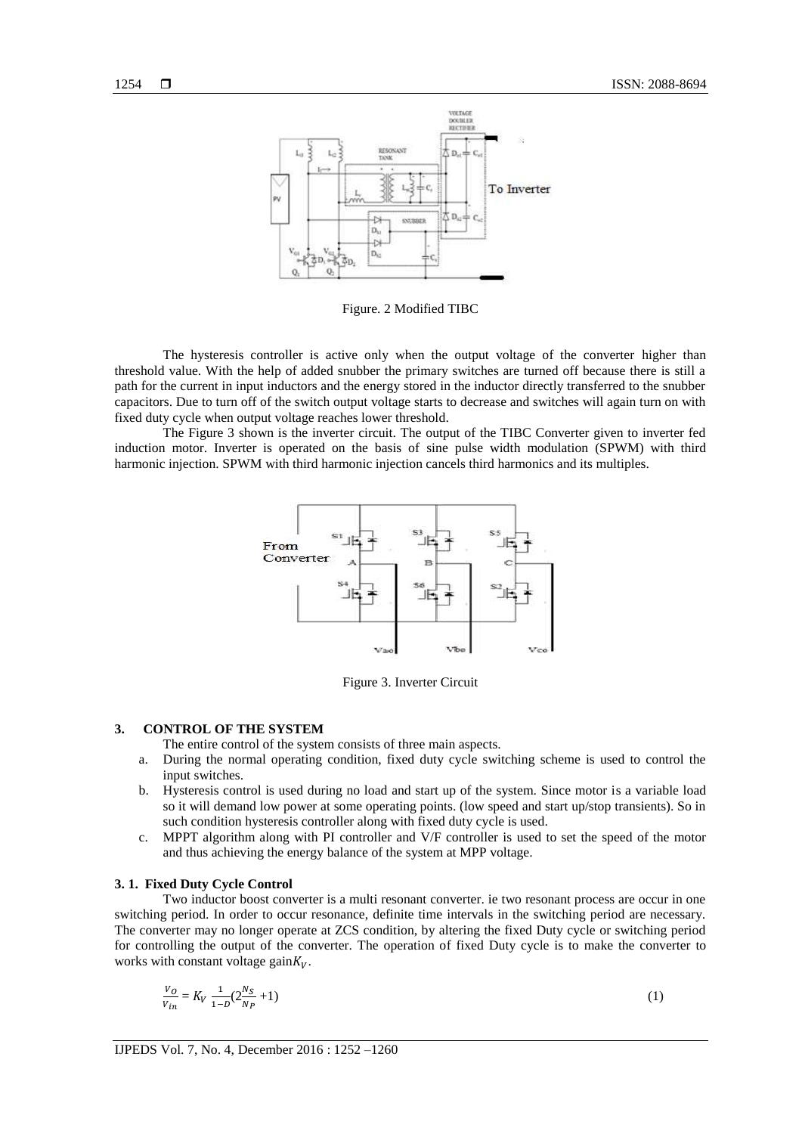

Figure. 2 Modified TIBC

The hysteresis controller is active only when the output voltage of the converter higher than threshold value. With the help of added snubber the primary switches are turned off because there is still a path for the current in input inductors and the energy stored in the inductor directly transferred to the snubber capacitors. Due to turn off of the switch output voltage starts to decrease and switches will again turn on with fixed duty cycle when output voltage reaches lower threshold.

The Figure 3 shown is the inverter circuit. The output of the TIBC Converter given to inverter fed induction motor. Inverter is operated on the basis of sine pulse width modulation (SPWM) with third harmonic injection. SPWM with third harmonic injection cancels third harmonics and its multiples.



Figure 3. Inverter Circuit

#### **3. CONTROL OF THE SYSTEM**

The entire control of the system consists of three main aspects.

- a. During the normal operating condition, fixed duty cycle switching scheme is used to control the input switches.
- b. Hysteresis control is used during no load and start up of the system. Since motor is a variable load so it will demand low power at some operating points. (low speed and start up/stop transients). So in such condition hysteresis controller along with fixed duty cycle is used.
- c. MPPT algorithm along with PI controller and V/F controller is used to set the speed of the motor and thus achieving the energy balance of the system at MPP voltage.

#### **3. 1. Fixed Duty Cycle Control**

Two inductor boost converter is a multi resonant converter. ie two resonant process are occur in one switching period. In order to occur resonance, definite time intervals in the switching period are necessary. The converter may no longer operate at ZCS condition, by altering the fixed Duty cycle or switching period for controlling the output of the converter. The operation of fixed Duty cycle is to make the converter to works with constant voltage gain $K_V$ .

$$
\frac{V_O}{V_{in}} = K_V \frac{1}{1 - D} (2\frac{Ns}{N_P} + 1)
$$
\n(1)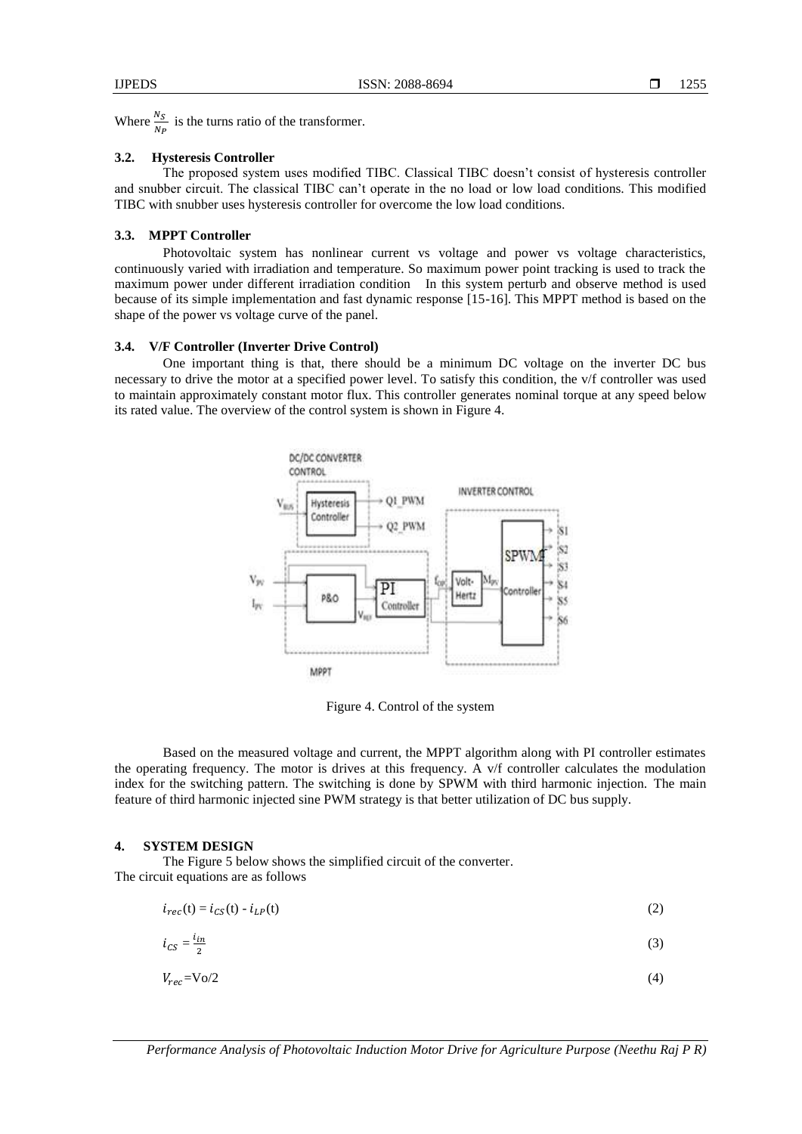Where  $\frac{N_S}{N_P}$  is the turns ratio of the transformer.

#### **3.2. Hysteresis Controller**

The proposed system uses modified TIBC. Classical TIBC doesn't consist of hysteresis controller and snubber circuit. The classical TIBC can't operate in the no load or low load conditions. This modified TIBC with snubber uses hysteresis controller for overcome the low load conditions.

# **3.3. MPPT Controller**

Photovoltaic system has nonlinear current vs voltage and power vs voltage characteristics, continuously varied with irradiation and temperature. So maximum power point tracking is used to track the maximum power under different irradiation condition In this system perturb and observe method is used because of its simple implementation and fast dynamic response [15-16]. This MPPT method is based on the shape of the power vs voltage curve of the panel.

# **3.4. V/F Controller (Inverter Drive Control)**

One important thing is that, there should be a minimum DC voltage on the inverter DC bus necessary to drive the motor at a specified power level. To satisfy this condition, the v/f controller was used to maintain approximately constant motor flux. This controller generates nominal torque at any speed below its rated value. The overview of the control system is shown in Figure 4.



Figure 4. Control of the system

Based on the measured voltage and current, the MPPT algorithm along with PI controller estimates the operating frequency. The motor is drives at this frequency. A v/f controller calculates the modulation index for the switching pattern. The switching is done by SPWM with third harmonic injection. The main feature of third harmonic injected sine PWM strategy is that better utilization of DC bus supply.

#### **4. SYSTEM DESIGN**

The Figure 5 below shows the simplified circuit of the converter. The circuit equations are as follows

 $i_{rec}(t) = i_{CS}(t) - i_{LP}(t)$  (2)

$$
i_{CS} = \frac{i_{in}}{2} \tag{3}
$$

$$
V_{rec} = \text{Vol}(2)
$$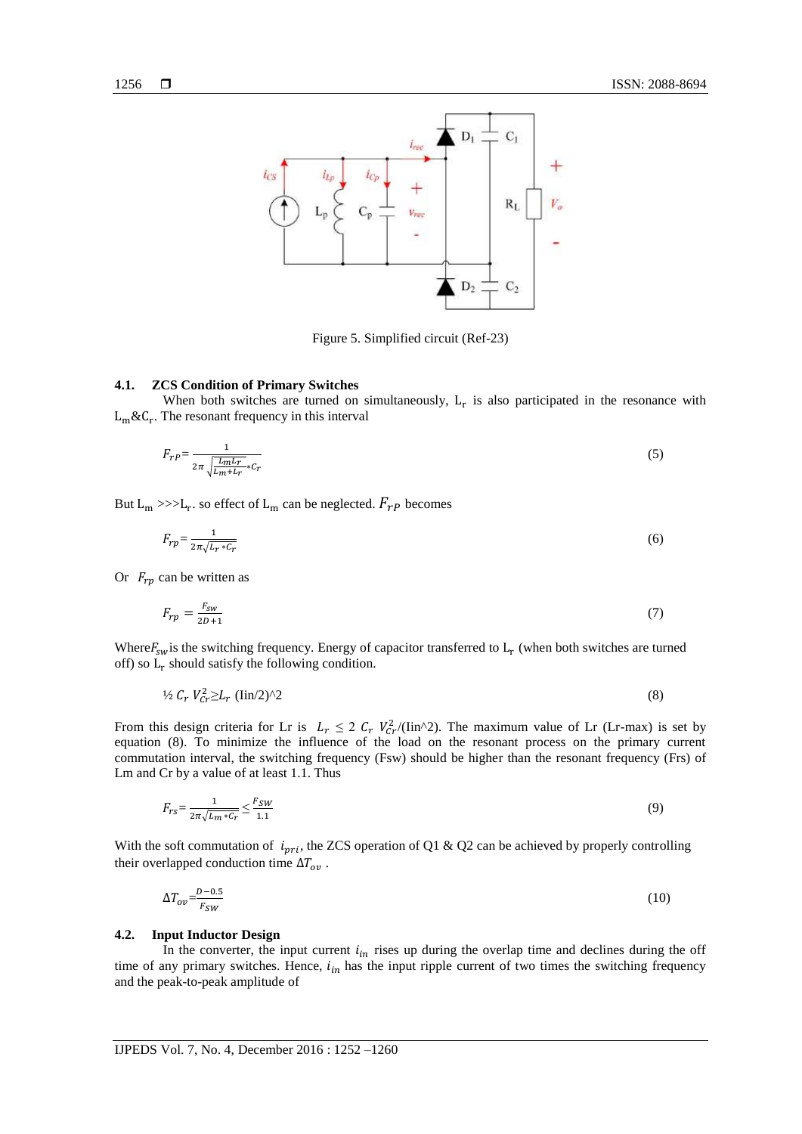

Figure 5. Simplified circuit (Ref-23)

#### **4.1. ZCS Condition of Primary Switches**

When both switches are turned on simultaneously,  $L_r$  is also participated in the resonance with  $L_m \& C_r$ . The resonant frequency in this interval

$$
F_{r} = \frac{1}{2\pi \sqrt{\frac{L_m L_r}{L_m + L_r}} \cdot c_r} \tag{5}
$$

But  $L_m \gg>L_r$ . so effect of  $L_m$  can be neglected.  $F_{rP}$  becomes

$$
F_{rp} = \frac{1}{2\pi\sqrt{L_r * C_r}}\tag{6}
$$

Or  $F_{rp}$  can be written as

$$
F_{rp} = \frac{F_{sw}}{2D+1} \tag{7}
$$

Where  $F_{sw}$  is the switching frequency. Energy of capacitor transferred to  $L_r$  (when both switches are turned off) so  $L_r$  should satisfy the following condition.

$$
\frac{1}{2} C_r V_{cr}^2 \ge L_r (\text{lin}/2)^2 \tag{8}
$$

From this design criteria for Lr is  $L_r \leq 2 C_r V_{Cr}^2 / (\text{lin}^2)$ . The maximum value of Lr (Lr-max) is set by equation (8). To minimize the influence of the load on the resonant process on the primary current commutation interval, the switching frequency (Fsw) should be higher than the resonant frequency (Frs) of Lm and Cr by a value of at least 1.1. Thus

$$
F_{rs} = \frac{1}{2\pi\sqrt{L_m * c_r}} \le \frac{F_{SW}}{1.1}
$$
\n<sup>(9)</sup>

With the soft commutation of  $i_{pri}$ , the ZCS operation of Q1 & Q2 can be achieved by properly controlling their overlapped conduction time  $\Delta T_{ov}$ .

$$
\Delta T_{ov} = \frac{D - 0.5}{F_{SW}}\tag{10}
$$

#### **4.2. Input Inductor Design**

In the converter, the input current  $i_{in}$  rises up during the overlap time and declines during the off time of any primary switches. Hence,  $i_{in}$  has the input ripple current of two times the switching frequency and the peak-to-peak amplitude of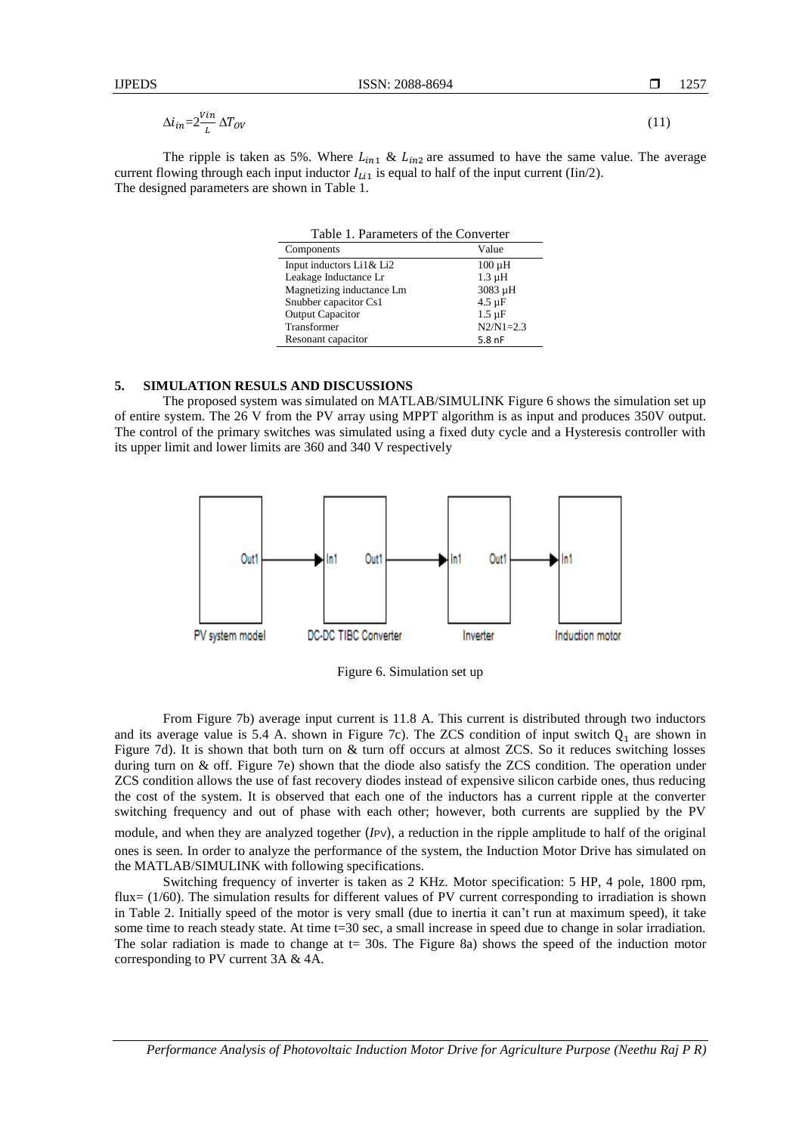1257

$$
\Delta i_{in} = 2 \frac{V_{in}}{L} \Delta T_{OV}
$$
\n<sup>(11)</sup>

The ripple is taken as 5%. Where  $L_{in1}$  &  $L_{in2}$  are assumed to have the same value. The average current flowing through each input inductor  $I_{Li1}$  is equal to half of the input current (Iin/2). The designed parameters are shown in Table 1.

| Table 1. Parameters of the Converter |               |
|--------------------------------------|---------------|
| Components                           | Value         |
| Input inductors Li1& Li2             | $100 \mu H$   |
| Leakage Inductance Lr                | $1.3 \mu H$   |
| Magnetizing inductance Lm            | 3083 µH       |
| Snubber capacitor Cs1                | $4.5 \mu F$   |
| <b>Output Capacitor</b>              | $1.5 \mu F$   |
| Transformer                          | $N2/N1 = 2.3$ |
| Resonant capacitor                   | $5.8$ nF      |

#### **5. SIMULATION RESULS AND DISCUSSIONS**

The proposed system was simulated on MATLAB/SIMULINK Figure 6 shows the simulation set up of entire system. The 26 V from the PV array using MPPT algorithm is as input and produces 350V output. The control of the primary switches was simulated using a fixed duty cycle and a Hysteresis controller with its upper limit and lower limits are 360 and 340 V respectively



Figure 6. Simulation set up

From Figure 7b) average input current is 11.8 A. This current is distributed through two inductors and its average value is 5.4 A. shown in Figure 7c). The ZCS condition of input switch  $Q_1$  are shown in Figure 7d). It is shown that both turn on & turn off occurs at almost ZCS. So it reduces switching losses during turn on & off. Figure 7e) shown that the diode also satisfy the ZCS condition. The operation under ZCS condition allows the use of fast recovery diodes instead of expensive silicon carbide ones, thus reducing the cost of the system. It is observed that each one of the inductors has a current ripple at the converter switching frequency and out of phase with each other; however, both currents are supplied by the PV

module, and when they are analyzed together (*I*PV), a reduction in the ripple amplitude to half of the original ones is seen. In order to analyze the performance of the system, the Induction Motor Drive has simulated on the MATLAB/SIMULINK with following specifications.

Switching frequency of inverter is taken as 2 KHz. Motor specification: 5 HP, 4 pole, 1800 rpm, flux= (1/60). The simulation results for different values of PV current corresponding to irradiation is shown in Table 2. Initially speed of the motor is very small (due to inertia it can't run at maximum speed), it take some time to reach steady state. At time t=30 sec, a small increase in speed due to change in solar irradiation. The solar radiation is made to change at  $t = 30s$ . The Figure 8a) shows the speed of the induction motor corresponding to PV current 3A & 4A.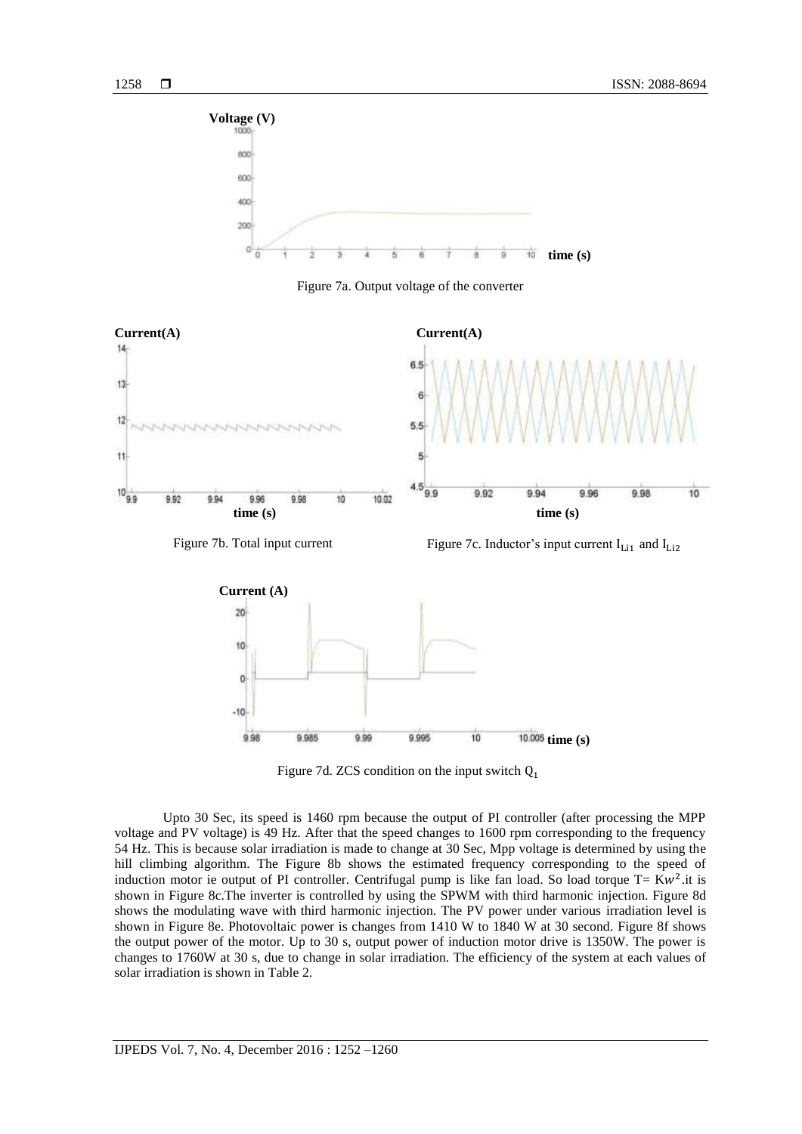

Figure 7a. Output voltage of the converter





Figure 7d. ZCS condition on the input switch  $Q_1$ 

Upto 30 Sec, its speed is 1460 rpm because the output of PI controller (after processing the MPP voltage and PV voltage) is 49 Hz. After that the speed changes to 1600 rpm corresponding to the frequency 54 Hz. This is because solar irradiation is made to change at 30 Sec, Mpp voltage is determined by using the hill climbing algorithm. The Figure 8b shows the estimated frequency corresponding to the speed of induction motor ie output of PI controller. Centrifugal pump is like fan load. So load torque T=  $Kw^2$ .it is shown in Figure 8c.The inverter is controlled by using the SPWM with third harmonic injection. Figure 8d shows the modulating wave with third harmonic injection. The PV power under various irradiation level is shown in Figure 8e. Photovoltaic power is changes from 1410 W to 1840 W at 30 second. Figure 8f shows the output power of the motor. Up to 30 s, output power of induction motor drive is 1350W. The power is changes to 1760W at 30 s, due to change in solar irradiation. The efficiency of the system at each values of solar irradiation is shown in Table 2.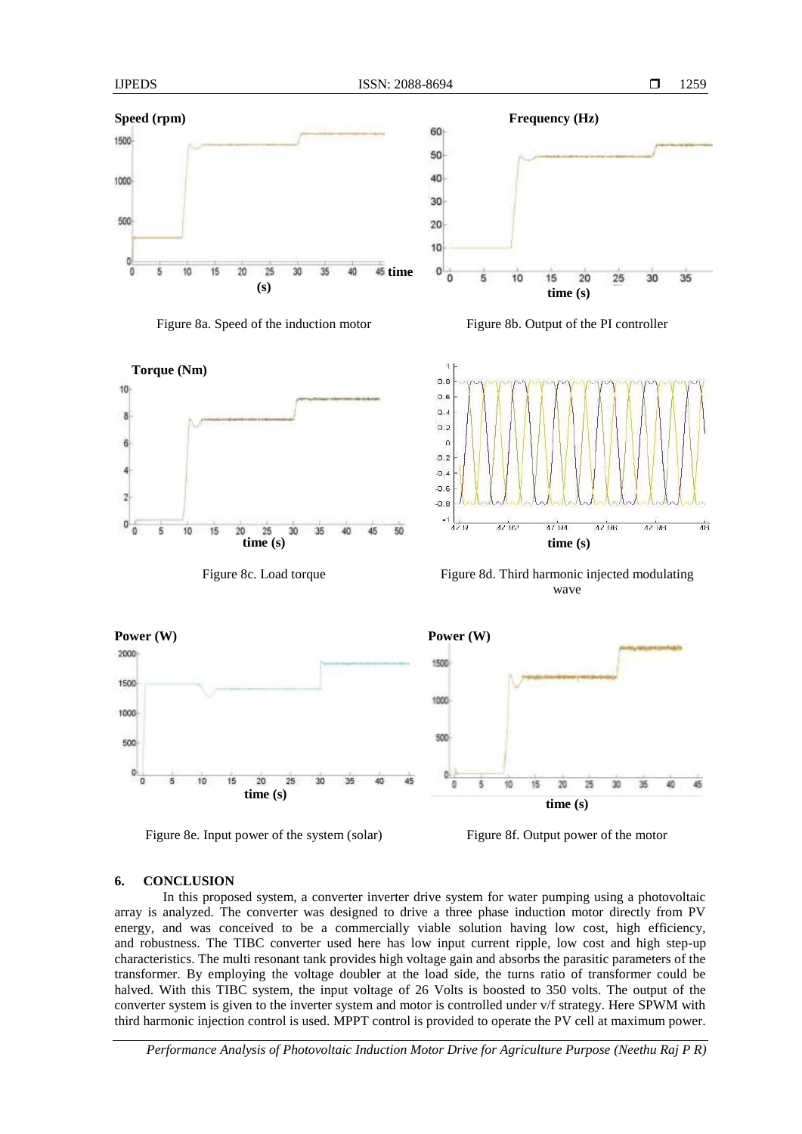1259









Figure 8c. Load torque Figure 8d. Third harmonic injected modulating wave



Figure 8e. Input power of the system (solar) Figure 8f. Output power of the motor

# **6. CONCLUSION**

In this proposed system, a converter inverter drive system for water pumping using a photovoltaic array is analyzed. The converter was designed to drive a three phase induction motor directly from PV energy, and was conceived to be a commercially viable solution having low cost, high efficiency, and robustness. The TIBC converter used here has low input current ripple, low cost and high step-up characteristics. The multi resonant tank provides high voltage gain and absorbs the parasitic parameters of the transformer. By employing the voltage doubler at the load side, the turns ratio of transformer could be halved. With this TIBC system, the input voltage of 26 Volts is boosted to 350 volts. The output of the converter system is given to the inverter system and motor is controlled under v/f strategy. Here SPWM with third harmonic injection control is used. MPPT control is provided to operate the PV cell at maximum power.

*Performance Analysis of Photovoltaic Induction Motor Drive for Agriculture Purpose (Neethu Raj P R)*